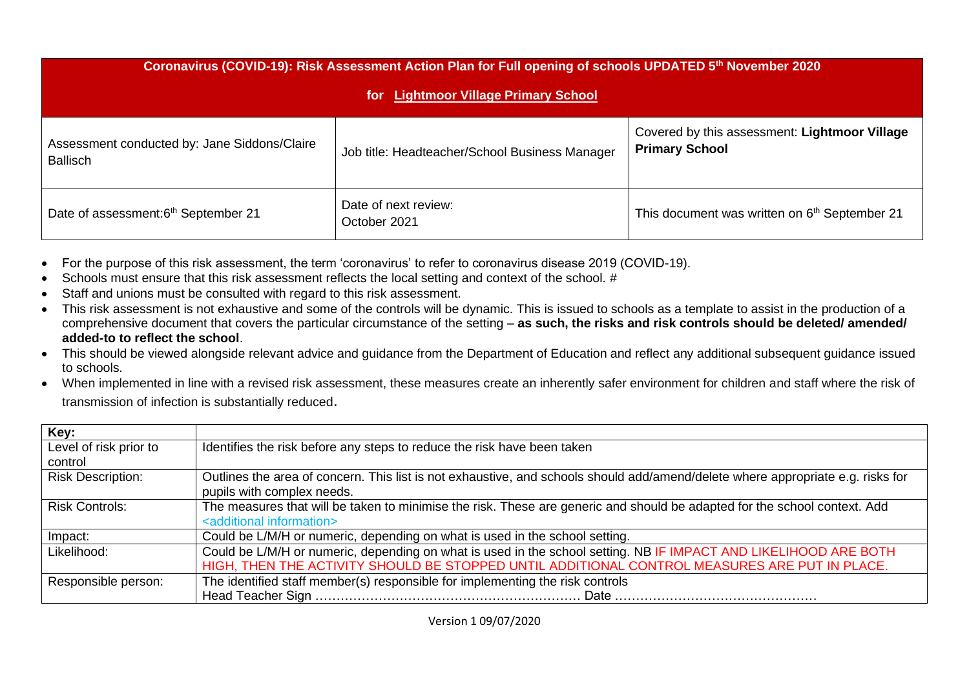| Coronavirus (COVID-19): Risk Assessment Action Plan for Full opening of schools UPDATED 5th November 2020<br><b>Lightmoor Village Primary School</b><br>for: |                                                |                                                                        |  |  |  |  |  |
|--------------------------------------------------------------------------------------------------------------------------------------------------------------|------------------------------------------------|------------------------------------------------------------------------|--|--|--|--|--|
| Assessment conducted by: Jane Siddons/Claire<br><b>Ballisch</b>                                                                                              | Job title: Headteacher/School Business Manager | Covered by this assessment: Lightmoor Village<br><b>Primary School</b> |  |  |  |  |  |
| Date of assessment:6 <sup>th</sup> September 21                                                                                                              | Date of next review:<br>October 2021           | This document was written on 6 <sup>th</sup> September 21              |  |  |  |  |  |

- For the purpose of this risk assessment, the term 'coronavirus' to refer to coronavirus disease 2019 (COVID-19).
- Schools must ensure that this risk assessment reflects the local setting and context of the school. #
- Staff and unions must be consulted with regard to this risk assessment.
- This risk assessment is not exhaustive and some of the controls will be dynamic. This is issued to schools as a template to assist in the production of a comprehensive document that covers the particular circumstance of the setting – **as such, the risks and risk controls should be deleted/ amended/ added-to to reflect the school**.
- This should be viewed alongside relevant advice and guidance from the Department of Education and reflect any additional subsequent guidance issued to schools.
- When implemented in line with a revised risk assessment, these measures create an inherently safer environment for children and staff where the risk of transmission of infection is substantially reduced.

| Key:                              |                                                                                                                                                                       |
|-----------------------------------|-----------------------------------------------------------------------------------------------------------------------------------------------------------------------|
| Level of risk prior to<br>control | Identifies the risk before any steps to reduce the risk have been taken                                                                                               |
| <b>Risk Description:</b>          | Outlines the area of concern. This list is not exhaustive, and schools should add/amend/delete where appropriate e.g. risks for<br>pupils with complex needs.         |
| Risk Controls:                    | The measures that will be taken to minimise the risk. These are generic and should be adapted for the school context. Add<br><additional information=""></additional> |
| Impact:                           | Could be L/M/H or numeric, depending on what is used in the school setting.                                                                                           |
| Likelihood:                       | Could be L/M/H or numeric, depending on what is used in the school setting. NB IF IMPACT AND LIKELIHOOD ARE BOTH                                                      |
|                                   | HIGH, THEN THE ACTIVITY SHOULD BE STOPPED UNTIL ADDITIONAL CONTROL MEASURES ARE PUT IN PLACE.                                                                         |
| Responsible person:               | The identified staff member(s) responsible for implementing the risk controls                                                                                         |
|                                   |                                                                                                                                                                       |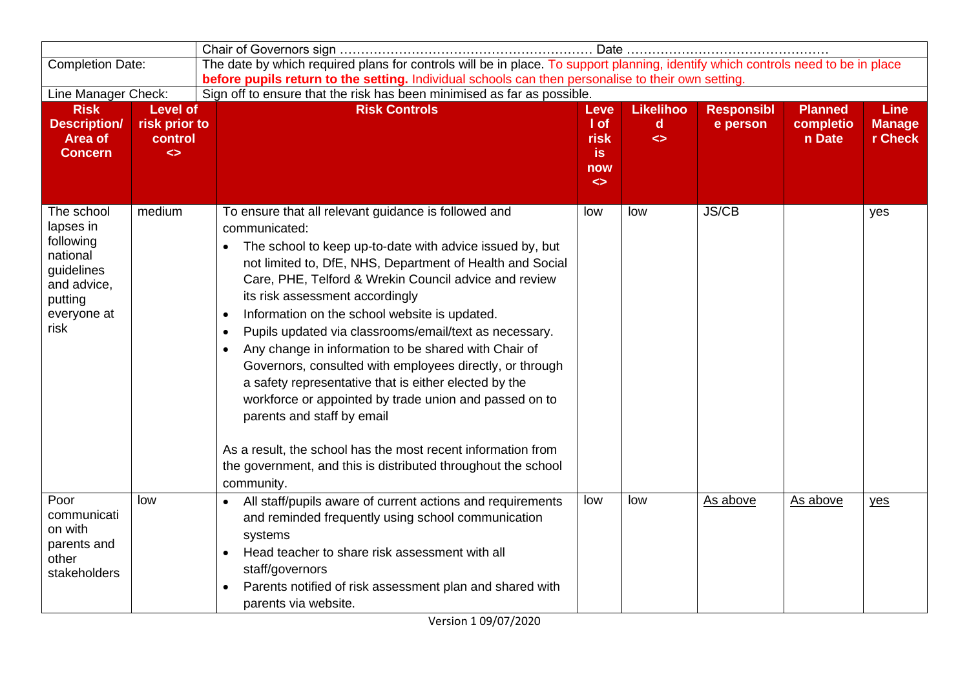| The date by which required plans for controls will be in place. To support planning, identify which controls need to be in place<br><b>Completion Date:</b><br>before pupils return to the setting. Individual schools can then personalise to their own setting. |                                                                  |                                                                                                                                                                                                                                                                                                                                                                                                                                                                                                                                                                                                                                                                                                                                                                                                                                                                  |                                                                 |                                                       |                               |                                       |                                         |
|-------------------------------------------------------------------------------------------------------------------------------------------------------------------------------------------------------------------------------------------------------------------|------------------------------------------------------------------|------------------------------------------------------------------------------------------------------------------------------------------------------------------------------------------------------------------------------------------------------------------------------------------------------------------------------------------------------------------------------------------------------------------------------------------------------------------------------------------------------------------------------------------------------------------------------------------------------------------------------------------------------------------------------------------------------------------------------------------------------------------------------------------------------------------------------------------------------------------|-----------------------------------------------------------------|-------------------------------------------------------|-------------------------------|---------------------------------------|-----------------------------------------|
| Line Manager Check:                                                                                                                                                                                                                                               |                                                                  | Sign off to ensure that the risk has been minimised as far as possible.                                                                                                                                                                                                                                                                                                                                                                                                                                                                                                                                                                                                                                                                                                                                                                                          |                                                                 |                                                       |                               |                                       |                                         |
| <b>Risk</b><br><b>Description/</b><br><b>Area of</b><br><b>Concern</b>                                                                                                                                                                                            | <b>Level of</b><br>risk prior to<br>control<br>$\leftrightarrow$ | <b>Risk Controls</b>                                                                                                                                                                                                                                                                                                                                                                                                                                                                                                                                                                                                                                                                                                                                                                                                                                             | Leve<br>$ $ of<br>risk<br><i>is</i><br>now<br>$\leftrightarrow$ | <b>Likelihoo</b><br><sub>d</sub><br>$\leftrightarrow$ | <b>Responsibl</b><br>e person | <b>Planned</b><br>completio<br>n Date | <b>Line</b><br><b>Manage</b><br>r Check |
| The school<br>lapses in<br>following<br>national<br>guidelines<br>and advice,<br>putting<br>everyone at<br>risk                                                                                                                                                   | medium                                                           | To ensure that all relevant guidance is followed and<br>communicated:<br>The school to keep up-to-date with advice issued by, but<br>not limited to, DfE, NHS, Department of Health and Social<br>Care, PHE, Telford & Wrekin Council advice and review<br>its risk assessment accordingly<br>Information on the school website is updated.<br>$\bullet$<br>Pupils updated via classrooms/email/text as necessary.<br>$\bullet$<br>Any change in information to be shared with Chair of<br>$\bullet$<br>Governors, consulted with employees directly, or through<br>a safety representative that is either elected by the<br>workforce or appointed by trade union and passed on to<br>parents and staff by email<br>As a result, the school has the most recent information from<br>the government, and this is distributed throughout the school<br>community. | low                                                             | low                                                   | <b>JS/CB</b>                  |                                       | yes                                     |
| Poor<br>communicati<br>on with<br>parents and<br>other<br>stakeholders                                                                                                                                                                                            | low                                                              | All staff/pupils aware of current actions and requirements<br>$\bullet$<br>and reminded frequently using school communication<br>systems<br>Head teacher to share risk assessment with all<br>$\bullet$<br>staff/governors<br>Parents notified of risk assessment plan and shared with<br>$\bullet$<br>parents via website.                                                                                                                                                                                                                                                                                                                                                                                                                                                                                                                                      | low                                                             | low                                                   | As above                      | As above                              | yes                                     |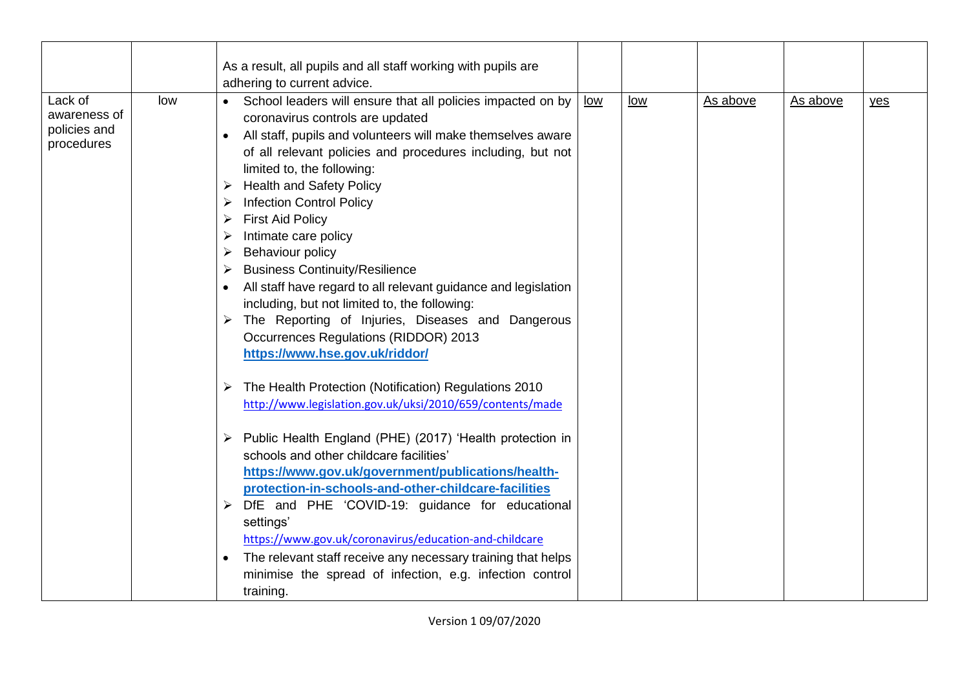|                                                       |     | As a result, all pupils and all staff working with pupils are<br>adhering to current advice.                                                                                                                                                                                                                                                                                                                                                                                                                                                                                                                                                                                                                                                                                                                                                                                              |            |            |          |          |     |
|-------------------------------------------------------|-----|-------------------------------------------------------------------------------------------------------------------------------------------------------------------------------------------------------------------------------------------------------------------------------------------------------------------------------------------------------------------------------------------------------------------------------------------------------------------------------------------------------------------------------------------------------------------------------------------------------------------------------------------------------------------------------------------------------------------------------------------------------------------------------------------------------------------------------------------------------------------------------------------|------------|------------|----------|----------|-----|
| Lack of<br>awareness of<br>policies and<br>procedures | low | School leaders will ensure that all policies impacted on by<br>coronavirus controls are updated<br>All staff, pupils and volunteers will make themselves aware<br>$\bullet$<br>of all relevant policies and procedures including, but not<br>limited to, the following:<br><b>Health and Safety Policy</b><br>➤<br><b>Infection Control Policy</b><br>➤<br><b>First Aid Policy</b><br>➤<br>Intimate care policy<br>➤<br><b>Behaviour policy</b><br>➤<br><b>Business Continuity/Resilience</b><br>➤<br>All staff have regard to all relevant guidance and legislation<br>including, but not limited to, the following:<br>> The Reporting of Injuries, Diseases and Dangerous<br><b>Occurrences Regulations (RIDDOR) 2013</b><br>https://www.hse.gov.uk/riddor/<br>The Health Protection (Notification) Regulations 2010<br>➤<br>http://www.legislation.gov.uk/uksi/2010/659/contents/made | <u>low</u> | <u>low</u> | As above | As above | yes |
|                                                       |     | Public Health England (PHE) (2017) 'Health protection in<br>➤<br>schools and other childcare facilities'<br>https://www.gov.uk/government/publications/health-<br>protection-in-schools-and-other-childcare-facilities<br>DfE and PHE 'COVID-19: guidance for educational<br>settings'<br>https://www.gov.uk/coronavirus/education-and-childcare<br>The relevant staff receive any necessary training that helps<br>$\bullet$<br>minimise the spread of infection, e.g. infection control<br>training.                                                                                                                                                                                                                                                                                                                                                                                    |            |            |          |          |     |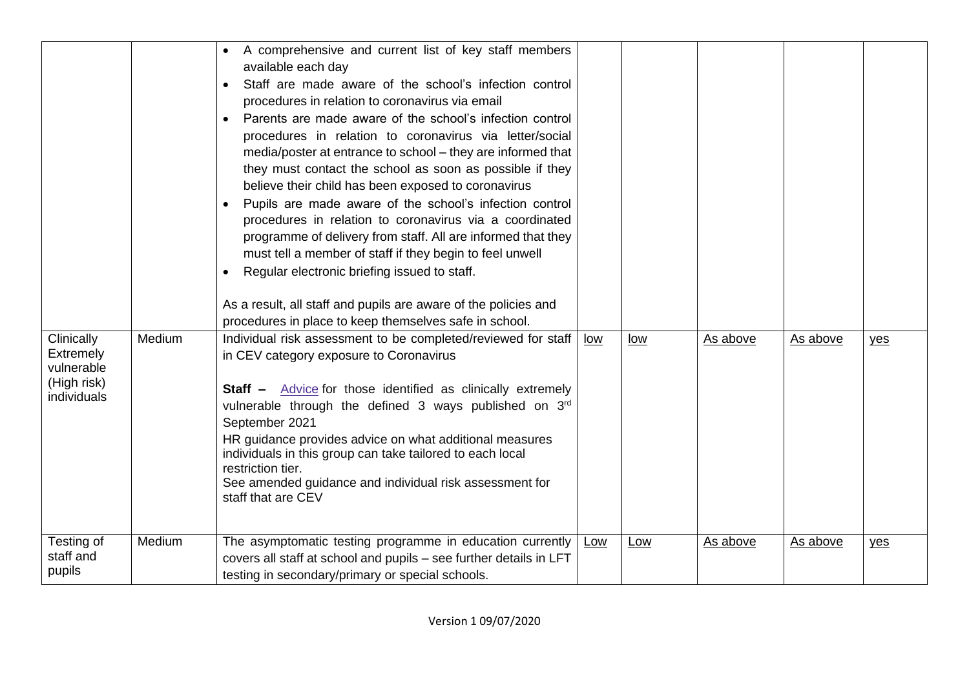| Clinically<br>Extremely<br>vulnerable<br>(High risk)<br>individuals | Medium | A comprehensive and current list of key staff members<br>available each day<br>Staff are made aware of the school's infection control<br>procedures in relation to coronavirus via email<br>Parents are made aware of the school's infection control<br>procedures in relation to coronavirus via letter/social<br>media/poster at entrance to school - they are informed that<br>they must contact the school as soon as possible if they<br>believe their child has been exposed to coronavirus<br>Pupils are made aware of the school's infection control<br>procedures in relation to coronavirus via a coordinated<br>programme of delivery from staff. All are informed that they<br>must tell a member of staff if they begin to feel unwell<br>Regular electronic briefing issued to staff.<br>As a result, all staff and pupils are aware of the policies and<br>procedures in place to keep themselves safe in school.<br>Individual risk assessment to be completed/reviewed for staff<br>in CEV category exposure to Coronavirus<br><b>Staff</b> - Advice for those identified as clinically extremely<br>vulnerable through the defined 3 ways published on 3rd<br>September 2021<br>HR guidance provides advice on what additional measures<br>individuals in this group can take tailored to each local<br>restriction tier.<br>See amended guidance and individual risk assessment for<br>staff that are CEV | low | low        | As above | As above | yes |
|---------------------------------------------------------------------|--------|------------------------------------------------------------------------------------------------------------------------------------------------------------------------------------------------------------------------------------------------------------------------------------------------------------------------------------------------------------------------------------------------------------------------------------------------------------------------------------------------------------------------------------------------------------------------------------------------------------------------------------------------------------------------------------------------------------------------------------------------------------------------------------------------------------------------------------------------------------------------------------------------------------------------------------------------------------------------------------------------------------------------------------------------------------------------------------------------------------------------------------------------------------------------------------------------------------------------------------------------------------------------------------------------------------------------------------------------------------------------------------------------------------------------------|-----|------------|----------|----------|-----|
| Testing of<br>staff and<br>pupils                                   | Medium | The asymptomatic testing programme in education currently<br>covers all staff at school and pupils - see further details in LFT<br>testing in secondary/primary or special schools.                                                                                                                                                                                                                                                                                                                                                                                                                                                                                                                                                                                                                                                                                                                                                                                                                                                                                                                                                                                                                                                                                                                                                                                                                                          | Low | <u>Low</u> | As above | As above | yes |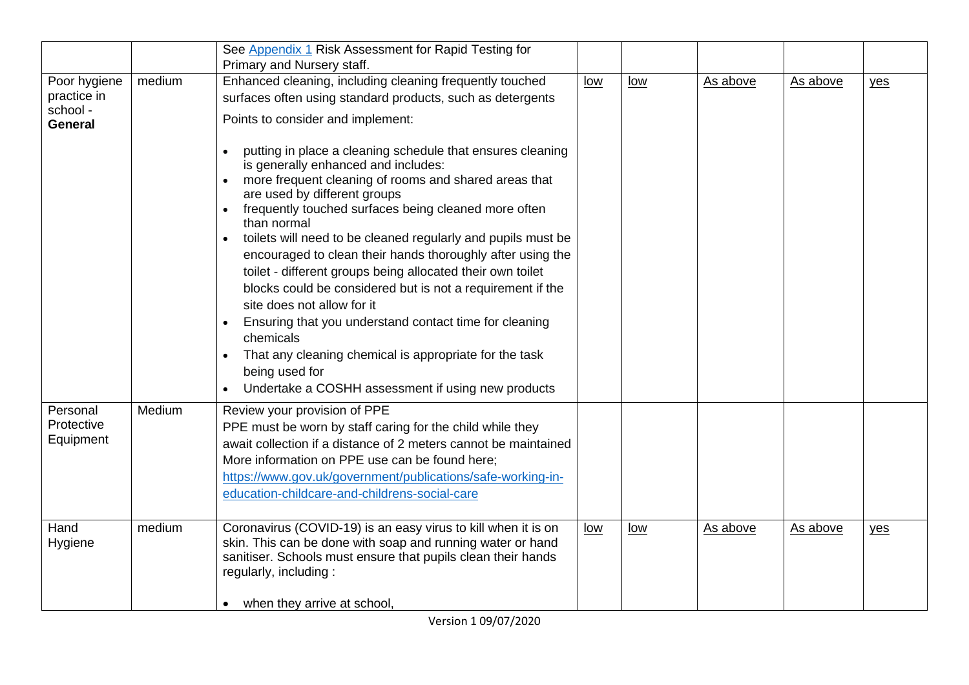|                                                           |        | See Appendix 1 Risk Assessment for Rapid Testing for<br>Primary and Nursery staff.                                                                                                                                                                                                                                                                                                                                                                                                                                                                                                                                                                                                                                                                                              |            |            |          |          |     |
|-----------------------------------------------------------|--------|---------------------------------------------------------------------------------------------------------------------------------------------------------------------------------------------------------------------------------------------------------------------------------------------------------------------------------------------------------------------------------------------------------------------------------------------------------------------------------------------------------------------------------------------------------------------------------------------------------------------------------------------------------------------------------------------------------------------------------------------------------------------------------|------------|------------|----------|----------|-----|
| Poor hygiene<br>practice in<br>school -<br><b>General</b> | medium | Enhanced cleaning, including cleaning frequently touched<br>surfaces often using standard products, such as detergents<br>Points to consider and implement:                                                                                                                                                                                                                                                                                                                                                                                                                                                                                                                                                                                                                     | <u>low</u> | <u>low</u> | As above | As above | yes |
|                                                           |        | putting in place a cleaning schedule that ensures cleaning<br>is generally enhanced and includes:<br>more frequent cleaning of rooms and shared areas that<br>are used by different groups<br>frequently touched surfaces being cleaned more often<br>than normal<br>toilets will need to be cleaned regularly and pupils must be<br>encouraged to clean their hands thoroughly after using the<br>toilet - different groups being allocated their own toilet<br>blocks could be considered but is not a requirement if the<br>site does not allow for it<br>Ensuring that you understand contact time for cleaning<br>chemicals<br>That any cleaning chemical is appropriate for the task<br>$\bullet$<br>being used for<br>Undertake a COSHH assessment if using new products |            |            |          |          |     |
| Personal<br>Protective<br>Equipment                       | Medium | Review your provision of PPE<br>PPE must be worn by staff caring for the child while they<br>await collection if a distance of 2 meters cannot be maintained<br>More information on PPE use can be found here;<br>https://www.gov.uk/government/publications/safe-working-in-<br>education-childcare-and-childrens-social-care                                                                                                                                                                                                                                                                                                                                                                                                                                                  |            |            |          |          |     |
| Hand<br>Hygiene                                           | medium | Coronavirus (COVID-19) is an easy virus to kill when it is on<br>skin. This can be done with soap and running water or hand<br>sanitiser. Schools must ensure that pupils clean their hands<br>regularly, including:<br>when they arrive at school,<br>$\bullet$                                                                                                                                                                                                                                                                                                                                                                                                                                                                                                                | <u>low</u> | <u>low</u> | As above | As above | yes |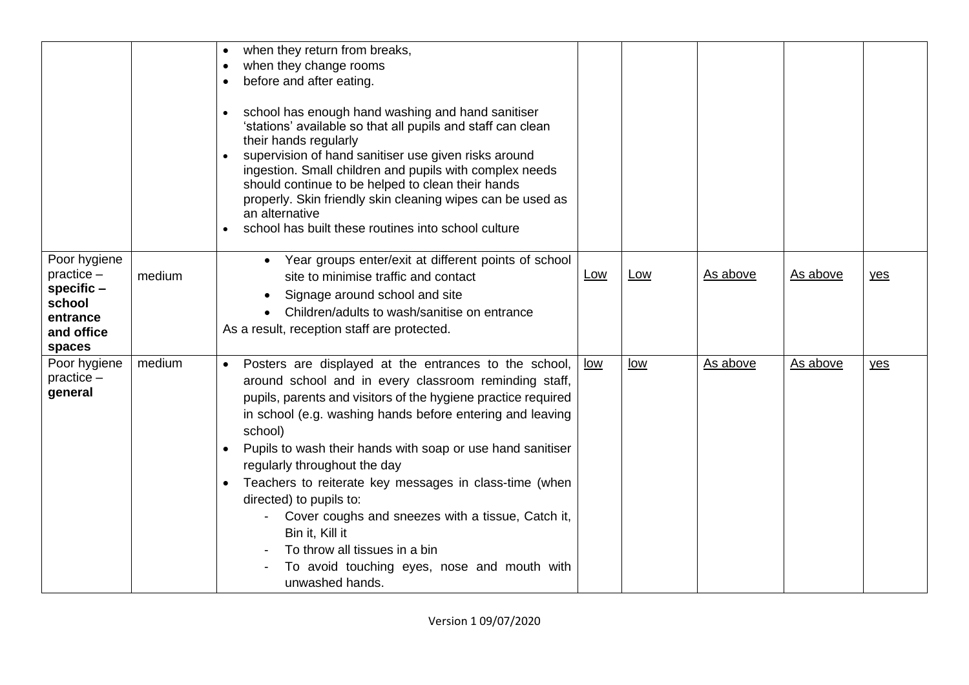|                                                                                            |        | when they return from breaks,<br>when they change rooms<br>$\bullet$<br>before and after eating.<br>$\bullet$<br>school has enough hand washing and hand sanitiser<br>$\bullet$<br>'stations' available so that all pupils and staff can clean<br>their hands regularly<br>supervision of hand sanitiser use given risks around<br>ingestion. Small children and pupils with complex needs<br>should continue to be helped to clean their hands<br>properly. Skin friendly skin cleaning wipes can be used as<br>an alternative<br>school has built these routines into school culture                                                          |            |            |          |          |     |
|--------------------------------------------------------------------------------------------|--------|-------------------------------------------------------------------------------------------------------------------------------------------------------------------------------------------------------------------------------------------------------------------------------------------------------------------------------------------------------------------------------------------------------------------------------------------------------------------------------------------------------------------------------------------------------------------------------------------------------------------------------------------------|------------|------------|----------|----------|-----|
| Poor hygiene<br>$practive -$<br>specific $-$<br>school<br>entrance<br>and office<br>spaces | medium | • Year groups enter/exit at different points of school<br>site to minimise traffic and contact<br>Signage around school and site<br>Children/adults to wash/sanitise on entrance<br>As a result, reception staff are protected.                                                                                                                                                                                                                                                                                                                                                                                                                 | <b>Low</b> | <b>Low</b> | As above | As above | yes |
| Poor hygiene<br>$practive -$<br>general                                                    | medium | Posters are displayed at the entrances to the school,<br>$\bullet$<br>around school and in every classroom reminding staff,<br>pupils, parents and visitors of the hygiene practice required<br>in school (e.g. washing hands before entering and leaving<br>school)<br>Pupils to wash their hands with soap or use hand sanitiser<br>$\bullet$<br>regularly throughout the day<br>Teachers to reiterate key messages in class-time (when<br>directed) to pupils to:<br>Cover coughs and sneezes with a tissue, Catch it,<br>Bin it, Kill it<br>To throw all tissues in a bin<br>To avoid touching eyes, nose and mouth with<br>unwashed hands. | low        | low        | As above | As above | yes |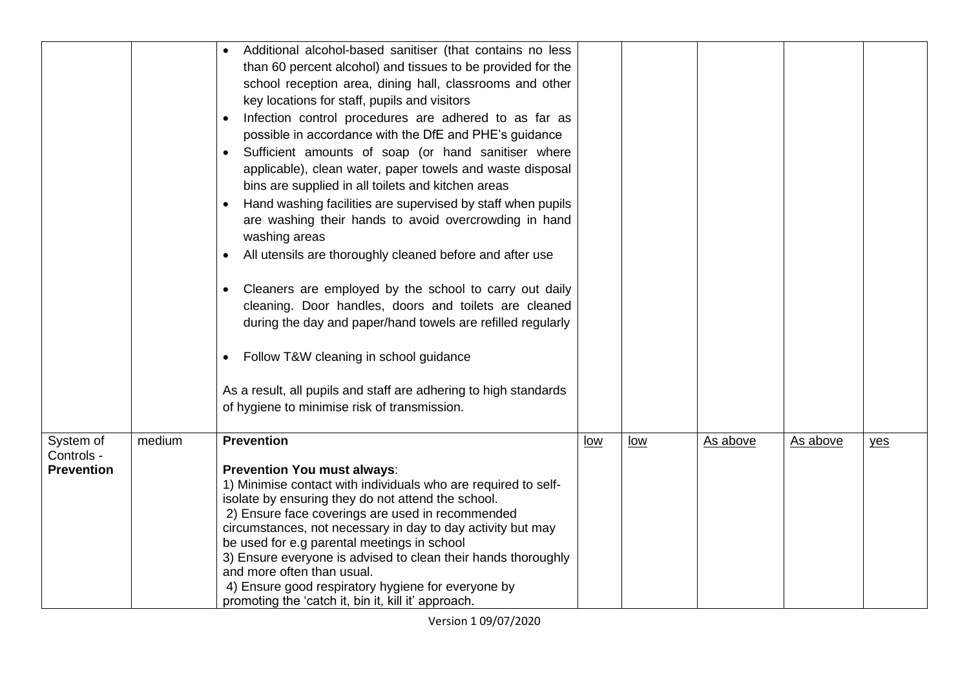|                                              |        | Additional alcohol-based sanitiser (that contains no less<br>than 60 percent alcohol) and tissues to be provided for the<br>school reception area, dining hall, classrooms and other<br>key locations for staff, pupils and visitors<br>Infection control procedures are adhered to as far as<br>$\bullet$<br>possible in accordance with the DfE and PHE's guidance<br>Sufficient amounts of soap (or hand sanitiser where<br>applicable), clean water, paper towels and waste disposal<br>bins are supplied in all toilets and kitchen areas<br>Hand washing facilities are supervised by staff when pupils<br>are washing their hands to avoid overcrowding in hand<br>washing areas<br>All utensils are thoroughly cleaned before and after use<br>$\bullet$<br>Cleaners are employed by the school to carry out daily<br>$\bullet$<br>cleaning. Door handles, doors and toilets are cleaned<br>during the day and paper/hand towels are refilled regularly<br>Follow T&W cleaning in school guidance<br>As a result, all pupils and staff are adhering to high standards<br>of hygiene to minimise risk of transmission. |     |     |          |          |     |
|----------------------------------------------|--------|-------------------------------------------------------------------------------------------------------------------------------------------------------------------------------------------------------------------------------------------------------------------------------------------------------------------------------------------------------------------------------------------------------------------------------------------------------------------------------------------------------------------------------------------------------------------------------------------------------------------------------------------------------------------------------------------------------------------------------------------------------------------------------------------------------------------------------------------------------------------------------------------------------------------------------------------------------------------------------------------------------------------------------------------------------------------------------------------------------------------------------|-----|-----|----------|----------|-----|
| System of<br>Controls -<br><b>Prevention</b> | medium | <b>Prevention</b><br>Prevention You must always:<br>1) Minimise contact with individuals who are required to self-<br>isolate by ensuring they do not attend the school.<br>2) Ensure face coverings are used in recommended<br>circumstances, not necessary in day to day activity but may<br>be used for e.g parental meetings in school<br>3) Ensure everyone is advised to clean their hands thoroughly<br>and more often than usual.<br>4) Ensure good respiratory hygiene for everyone by<br>promoting the 'catch it, bin it, kill it' approach.                                                                                                                                                                                                                                                                                                                                                                                                                                                                                                                                                                        | low | low | As above | As above | yes |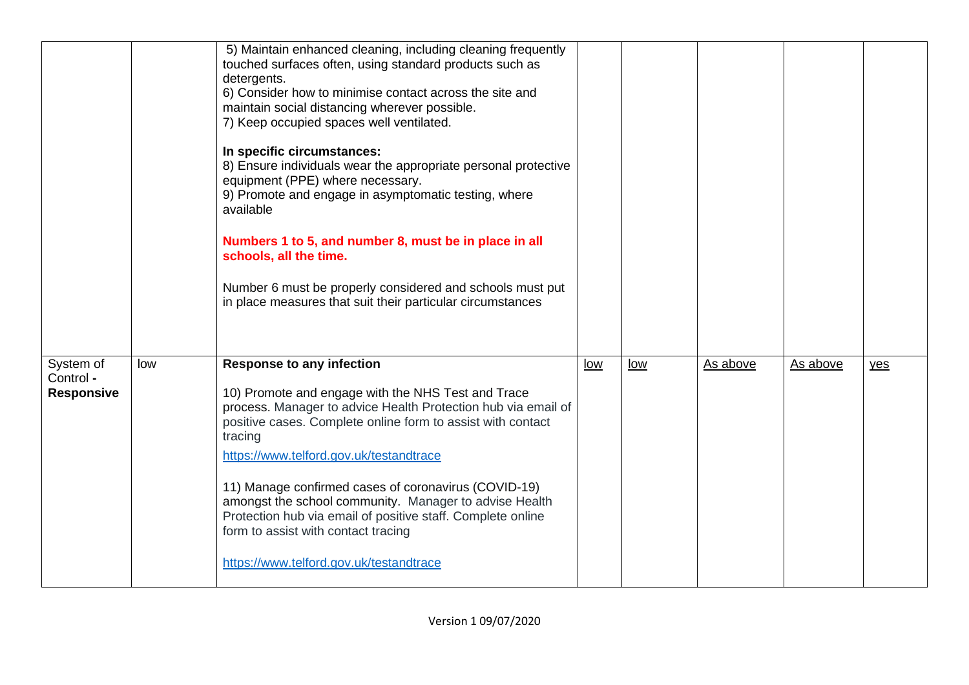|                                             |     | 5) Maintain enhanced cleaning, including cleaning frequently<br>touched surfaces often, using standard products such as<br>detergents.<br>6) Consider how to minimise contact across the site and<br>maintain social distancing wherever possible.<br>7) Keep occupied spaces well ventilated.<br>In specific circumstances:<br>8) Ensure individuals wear the appropriate personal protective<br>equipment (PPE) where necessary.<br>9) Promote and engage in asymptomatic testing, where<br>available<br>Numbers 1 to 5, and number 8, must be in place in all<br>schools, all the time.<br>Number 6 must be properly considered and schools must put<br>in place measures that suit their particular circumstances |     |     |          |          |     |
|---------------------------------------------|-----|-----------------------------------------------------------------------------------------------------------------------------------------------------------------------------------------------------------------------------------------------------------------------------------------------------------------------------------------------------------------------------------------------------------------------------------------------------------------------------------------------------------------------------------------------------------------------------------------------------------------------------------------------------------------------------------------------------------------------|-----|-----|----------|----------|-----|
| System of<br>Control -<br><b>Responsive</b> | low | <b>Response to any infection</b><br>10) Promote and engage with the NHS Test and Trace<br>process. Manager to advice Health Protection hub via email of<br>positive cases. Complete online form to assist with contact<br>tracing<br>https://www.telford.gov.uk/testandtrace<br>11) Manage confirmed cases of coronavirus (COVID-19)<br>amongst the school community. Manager to advise Health<br>Protection hub via email of positive staff. Complete online<br>form to assist with contact tracing<br>https://www.telford.gov.uk/testandtrace                                                                                                                                                                       | low | low | As above | As above | yes |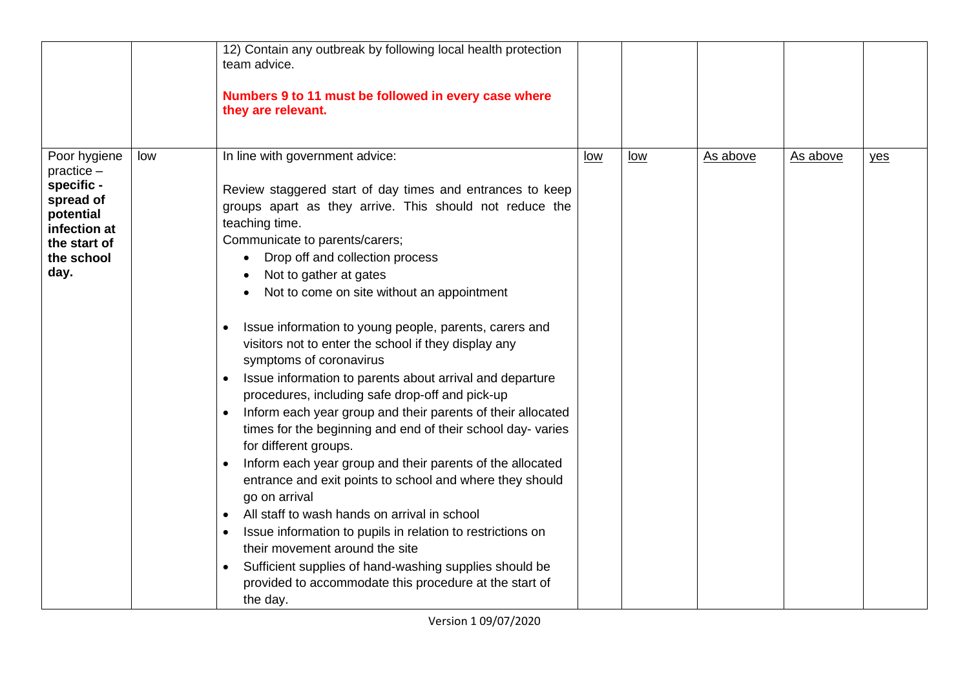|                                                                                                                            |     | 12) Contain any outbreak by following local health protection<br>team advice.<br>Numbers 9 to 11 must be followed in every case where<br>they are relevant.                                                                                                                                                                                                                                                                                                                                                                                                                                                                                                                                                                                                                                                                                                                                                                                                                                                                                                                                                                                                                                                                                      |            |            |          |          |     |
|----------------------------------------------------------------------------------------------------------------------------|-----|--------------------------------------------------------------------------------------------------------------------------------------------------------------------------------------------------------------------------------------------------------------------------------------------------------------------------------------------------------------------------------------------------------------------------------------------------------------------------------------------------------------------------------------------------------------------------------------------------------------------------------------------------------------------------------------------------------------------------------------------------------------------------------------------------------------------------------------------------------------------------------------------------------------------------------------------------------------------------------------------------------------------------------------------------------------------------------------------------------------------------------------------------------------------------------------------------------------------------------------------------|------------|------------|----------|----------|-----|
| Poor hygiene<br>$practive -$<br>specific -<br>spread of<br>potential<br>infection at<br>the start of<br>the school<br>day. | low | In line with government advice:<br>Review staggered start of day times and entrances to keep<br>groups apart as they arrive. This should not reduce the<br>teaching time.<br>Communicate to parents/carers;<br>Drop off and collection process<br>Not to gather at gates<br>Not to come on site without an appointment<br>Issue information to young people, parents, carers and<br>$\bullet$<br>visitors not to enter the school if they display any<br>symptoms of coronavirus<br>Issue information to parents about arrival and departure<br>$\bullet$<br>procedures, including safe drop-off and pick-up<br>Inform each year group and their parents of their allocated<br>$\bullet$<br>times for the beginning and end of their school day-varies<br>for different groups.<br>Inform each year group and their parents of the allocated<br>$\bullet$<br>entrance and exit points to school and where they should<br>go on arrival<br>All staff to wash hands on arrival in school<br>$\bullet$<br>Issue information to pupils in relation to restrictions on<br>$\bullet$<br>their movement around the site<br>Sufficient supplies of hand-washing supplies should be<br>provided to accommodate this procedure at the start of<br>the day. | <u>low</u> | <u>low</u> | As above | As above | yes |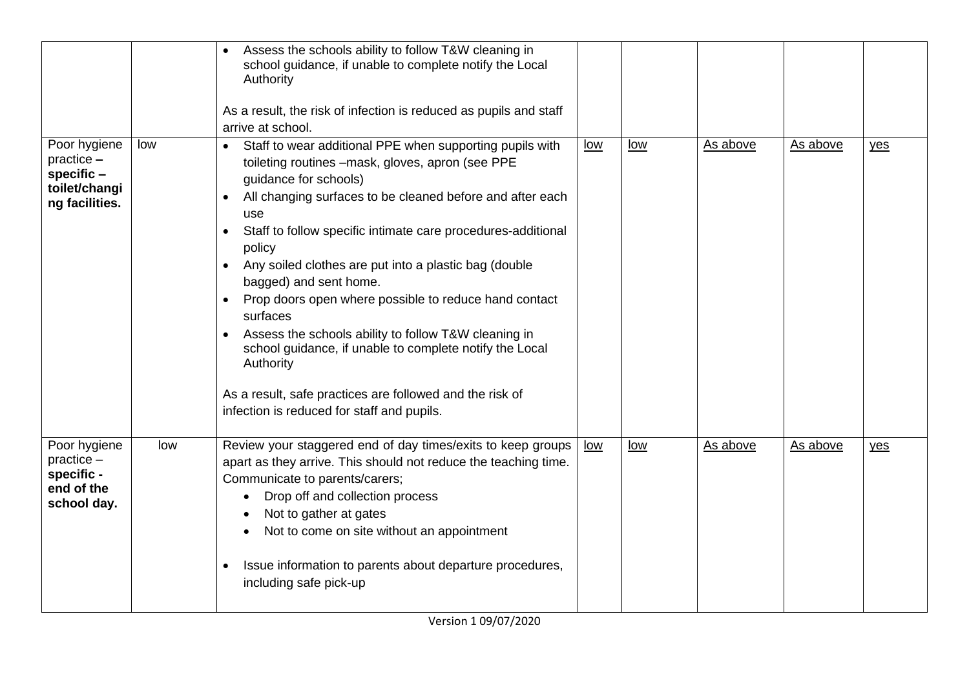|                                                                                 |     | Assess the schools ability to follow T&W cleaning in<br>school guidance, if unable to complete notify the Local<br>Authority<br>As a result, the risk of infection is reduced as pupils and staff<br>arrive at school.                                                                                                                                                                                                                                                                                                                                                                                                                                                                                                                    |     |     |          |          |     |
|---------------------------------------------------------------------------------|-----|-------------------------------------------------------------------------------------------------------------------------------------------------------------------------------------------------------------------------------------------------------------------------------------------------------------------------------------------------------------------------------------------------------------------------------------------------------------------------------------------------------------------------------------------------------------------------------------------------------------------------------------------------------------------------------------------------------------------------------------------|-----|-----|----------|----------|-----|
| Poor hygiene<br>$practive -$<br>specific $-$<br>toilet/changi<br>ng facilities. | low | Staff to wear additional PPE when supporting pupils with<br>$\bullet$<br>toileting routines -mask, gloves, apron (see PPE<br>guidance for schools)<br>All changing surfaces to be cleaned before and after each<br>$\bullet$<br>use<br>Staff to follow specific intimate care procedures-additional<br>policy<br>Any soiled clothes are put into a plastic bag (double<br>$\bullet$<br>bagged) and sent home.<br>Prop doors open where possible to reduce hand contact<br>surfaces<br>Assess the schools ability to follow T&W cleaning in<br>$\bullet$<br>school guidance, if unable to complete notify the Local<br>Authority<br>As a result, safe practices are followed and the risk of<br>infection is reduced for staff and pupils. | low | low | As above | As above | yes |
| Poor hygiene<br>$practive -$<br>specific -<br>end of the<br>school day.         | low | Review your staggered end of day times/exits to keep groups<br>apart as they arrive. This should not reduce the teaching time.<br>Communicate to parents/carers;<br>Drop off and collection process<br>$\bullet$<br>Not to gather at gates<br>Not to come on site without an appointment<br>Issue information to parents about departure procedures,<br>$\bullet$<br>including safe pick-up                                                                                                                                                                                                                                                                                                                                               | low | low | As above | As above | yes |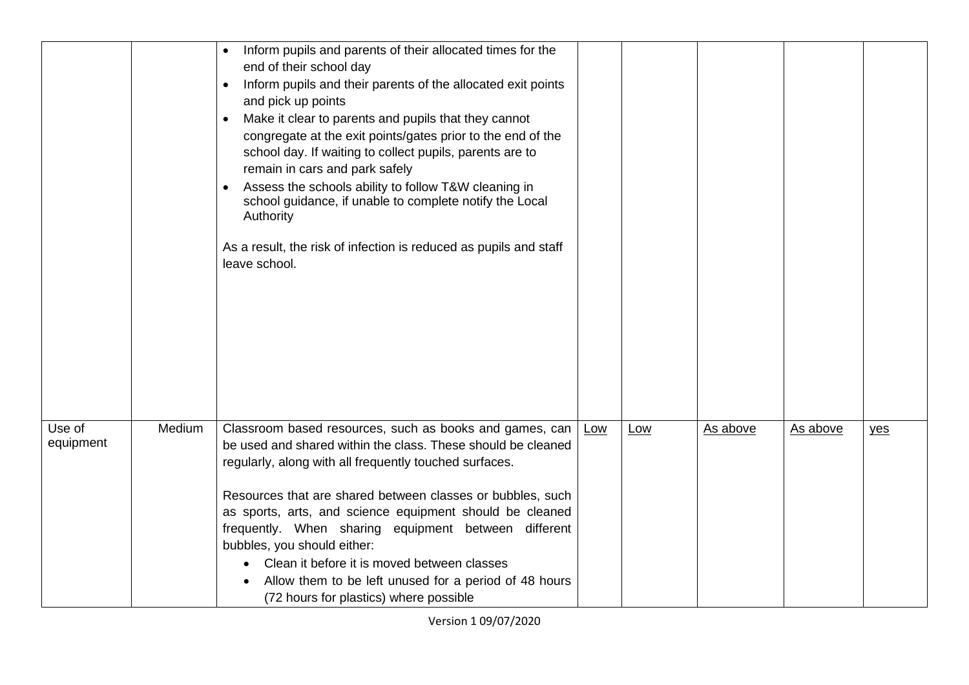|                     |        | Inform pupils and parents of their allocated times for the<br>$\bullet$<br>end of their school day<br>Inform pupils and their parents of the allocated exit points<br>$\bullet$<br>and pick up points<br>Make it clear to parents and pupils that they cannot<br>$\bullet$<br>congregate at the exit points/gates prior to the end of the<br>school day. If waiting to collect pupils, parents are to<br>remain in cars and park safely<br>Assess the schools ability to follow T&W cleaning in<br>school guidance, if unable to complete notify the Local<br>Authority<br>As a result, the risk of infection is reduced as pupils and staff<br>leave school. |     |     |          |          |     |
|---------------------|--------|---------------------------------------------------------------------------------------------------------------------------------------------------------------------------------------------------------------------------------------------------------------------------------------------------------------------------------------------------------------------------------------------------------------------------------------------------------------------------------------------------------------------------------------------------------------------------------------------------------------------------------------------------------------|-----|-----|----------|----------|-----|
| Use of<br>equipment | Medium | Classroom based resources, such as books and games, can<br>be used and shared within the class. These should be cleaned<br>regularly, along with all frequently touched surfaces.<br>Resources that are shared between classes or bubbles, such<br>as sports, arts, and science equipment should be cleaned<br>frequently. When sharing equipment between different<br>bubbles, you should either:<br>Clean it before it is moved between classes<br>Allow them to be left unused for a period of 48 hours<br>(72 hours for plastics) where possible                                                                                                          | Low | Low | As above | As above | yes |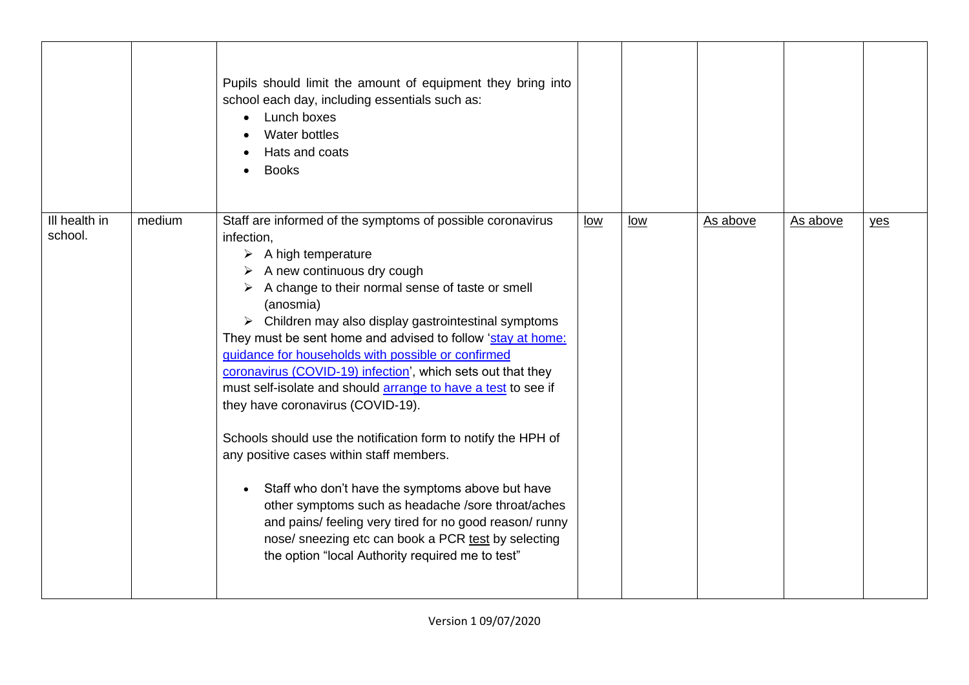|                          |        | Pupils should limit the amount of equipment they bring into<br>school each day, including essentials such as:<br>Lunch boxes<br>Water bottles<br>Hats and coats<br><b>Books</b>                                                                                                                                                                                                                                                                                                                                                                                                                                                                                                                                                                                                                                                                                                                                                                                                                                 |            |            |          |          |     |
|--------------------------|--------|-----------------------------------------------------------------------------------------------------------------------------------------------------------------------------------------------------------------------------------------------------------------------------------------------------------------------------------------------------------------------------------------------------------------------------------------------------------------------------------------------------------------------------------------------------------------------------------------------------------------------------------------------------------------------------------------------------------------------------------------------------------------------------------------------------------------------------------------------------------------------------------------------------------------------------------------------------------------------------------------------------------------|------------|------------|----------|----------|-----|
| Ill health in<br>school. | medium | Staff are informed of the symptoms of possible coronavirus<br>infection,<br>$\triangleright$ A high temperature<br>$\triangleright$ A new continuous dry cough<br>$\triangleright$ A change to their normal sense of taste or smell<br>(anosmia)<br>$\triangleright$ Children may also display gastrointestinal symptoms<br>They must be sent home and advised to follow 'stay at home:<br>guidance for households with possible or confirmed<br>coronavirus (COVID-19) infection', which sets out that they<br>must self-isolate and should arrange to have a test to see if<br>they have coronavirus (COVID-19).<br>Schools should use the notification form to notify the HPH of<br>any positive cases within staff members.<br>Staff who don't have the symptoms above but have<br>other symptoms such as headache /sore throat/aches<br>and pains/ feeling very tired for no good reason/ runny<br>nose/ sneezing etc can book a PCR test by selecting<br>the option "local Authority required me to test" | <u>low</u> | <u>low</u> | As above | As above | yes |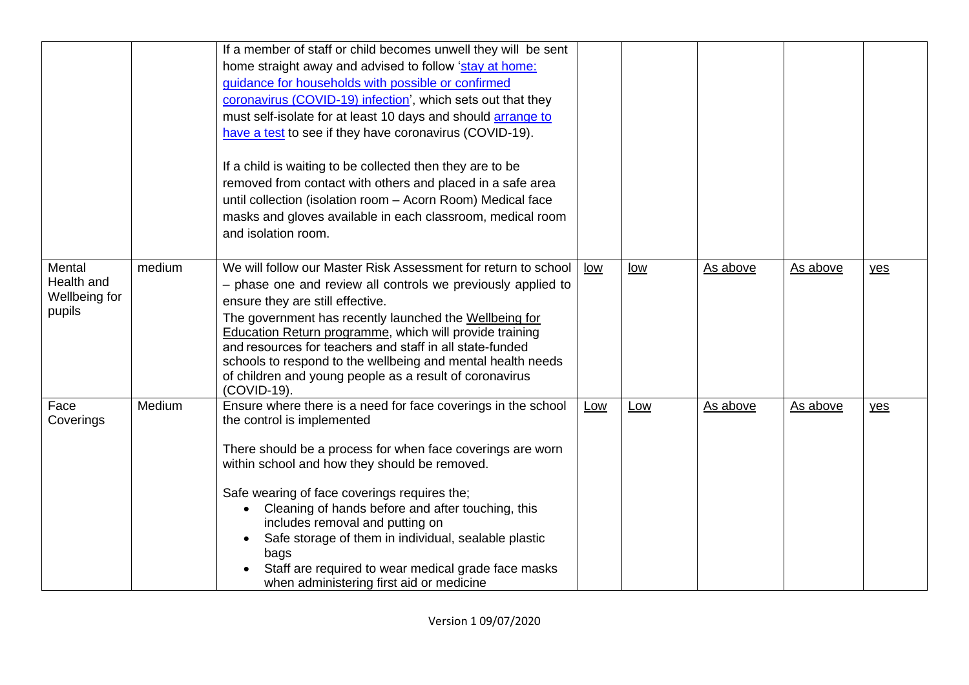|                                                 |        | If a member of staff or child becomes unwell they will be sent<br>home straight away and advised to follow 'stay at home:<br>guidance for households with possible or confirmed<br>coronavirus (COVID-19) infection', which sets out that they<br>must self-isolate for at least 10 days and should arrange to<br>have a test to see if they have coronavirus (COVID-19).<br>If a child is waiting to be collected then they are to be<br>removed from contact with others and placed in a safe area<br>until collection (isolation room - Acorn Room) Medical face<br>masks and gloves available in each classroom, medical room<br>and isolation room. |     |     |          |          |     |
|-------------------------------------------------|--------|----------------------------------------------------------------------------------------------------------------------------------------------------------------------------------------------------------------------------------------------------------------------------------------------------------------------------------------------------------------------------------------------------------------------------------------------------------------------------------------------------------------------------------------------------------------------------------------------------------------------------------------------------------|-----|-----|----------|----------|-----|
| Mental<br>Health and<br>Wellbeing for<br>pupils | medium | We will follow our Master Risk Assessment for return to school<br>- phase one and review all controls we previously applied to<br>ensure they are still effective.<br>The government has recently launched the Wellbeing for<br>Education Return programme, which will provide training<br>and resources for teachers and staff in all state-funded<br>schools to respond to the wellbeing and mental health needs<br>of children and young people as a result of coronavirus<br>(COVID-19).                                                                                                                                                             | low | low | As above | As above | yes |
| Face<br>Coverings                               | Medium | Ensure where there is a need for face coverings in the school<br>the control is implemented<br>There should be a process for when face coverings are worn<br>within school and how they should be removed.<br>Safe wearing of face coverings requires the;<br>Cleaning of hands before and after touching, this<br>$\bullet$<br>includes removal and putting on<br>Safe storage of them in individual, sealable plastic<br>bags<br>Staff are required to wear medical grade face masks<br>when administering first aid or medicine                                                                                                                       | Low | Low | As above | As above | yes |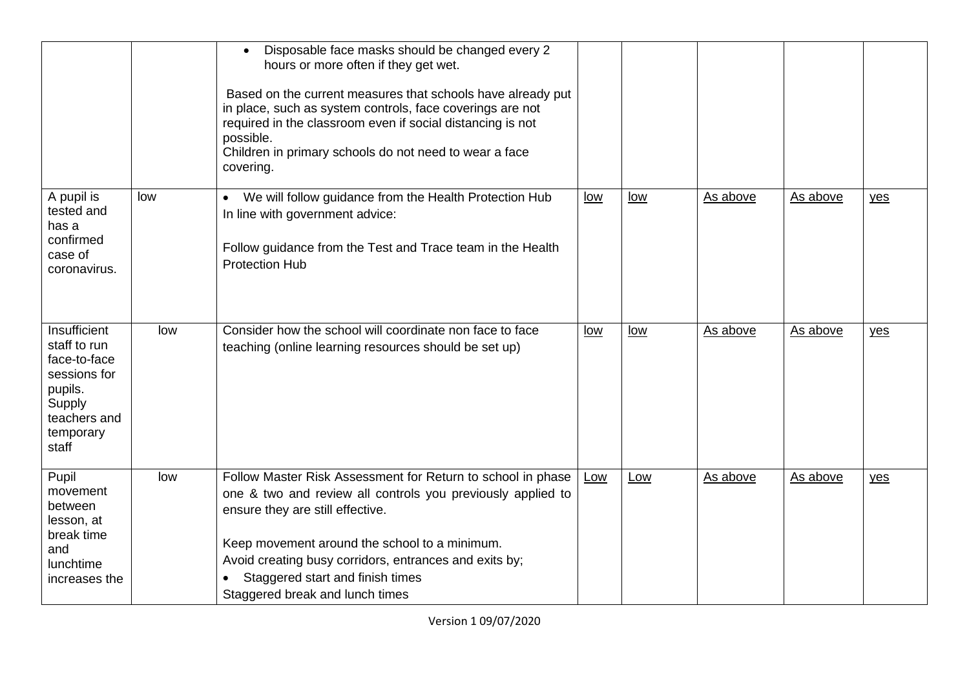|                                                                                                                         |     | Disposable face masks should be changed every 2<br>$\bullet$<br>hours or more often if they get wet.<br>Based on the current measures that schools have already put<br>in place, such as system controls, face coverings are not<br>required in the classroom even if social distancing is not<br>possible.<br>Children in primary schools do not need to wear a face<br>covering. |            |     |          |          |       |
|-------------------------------------------------------------------------------------------------------------------------|-----|------------------------------------------------------------------------------------------------------------------------------------------------------------------------------------------------------------------------------------------------------------------------------------------------------------------------------------------------------------------------------------|------------|-----|----------|----------|-------|
| A pupil is<br>tested and<br>has a<br>confirmed<br>case of<br>coronavirus.                                               | low | We will follow guidance from the Health Protection Hub<br>$\bullet$<br>In line with government advice:<br>Follow guidance from the Test and Trace team in the Health<br><b>Protection Hub</b>                                                                                                                                                                                      | low        | low | As above | As above | yes   |
| Insufficient<br>staff to run<br>face-to-face<br>sessions for<br>pupils.<br>Supply<br>teachers and<br>temporary<br>staff | low | Consider how the school will coordinate non face to face<br>teaching (online learning resources should be set up)                                                                                                                                                                                                                                                                  | <u>low</u> | low | As above | As above | $yes$ |
| Pupil<br>movement<br>between<br>lesson, at<br>break time<br>and<br>lunchtime<br>increases the                           | low | Follow Master Risk Assessment for Return to school in phase<br>one & two and review all controls you previously applied to<br>ensure they are still effective.<br>Keep movement around the school to a minimum.<br>Avoid creating busy corridors, entrances and exits by;<br>Staggered start and finish times<br>Staggered break and lunch times                                   | Low        | Low | As above | As above | $yes$ |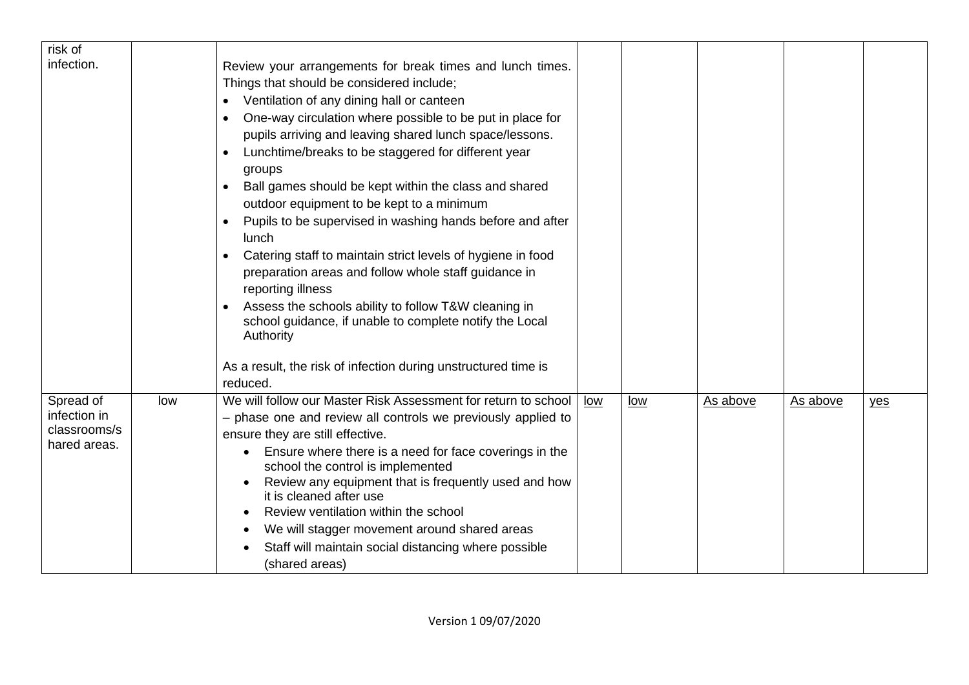| risk of      |     |                                                                                                                              |     |     |          |          |     |
|--------------|-----|------------------------------------------------------------------------------------------------------------------------------|-----|-----|----------|----------|-----|
| infection.   |     | Review your arrangements for break times and lunch times.                                                                    |     |     |          |          |     |
|              |     | Things that should be considered include;                                                                                    |     |     |          |          |     |
|              |     | Ventilation of any dining hall or canteen<br>$\bullet$                                                                       |     |     |          |          |     |
|              |     | One-way circulation where possible to be put in place for<br>$\bullet$                                                       |     |     |          |          |     |
|              |     | pupils arriving and leaving shared lunch space/lessons.                                                                      |     |     |          |          |     |
|              |     | Lunchtime/breaks to be staggered for different year<br>$\bullet$                                                             |     |     |          |          |     |
|              |     | groups                                                                                                                       |     |     |          |          |     |
|              |     | Ball games should be kept within the class and shared<br>$\bullet$                                                           |     |     |          |          |     |
|              |     | outdoor equipment to be kept to a minimum                                                                                    |     |     |          |          |     |
|              |     | Pupils to be supervised in washing hands before and after<br>$\bullet$<br>lunch                                              |     |     |          |          |     |
|              |     | Catering staff to maintain strict levels of hygiene in food<br>$\bullet$                                                     |     |     |          |          |     |
|              |     | preparation areas and follow whole staff guidance in                                                                         |     |     |          |          |     |
|              |     | reporting illness                                                                                                            |     |     |          |          |     |
|              |     | Assess the schools ability to follow T&W cleaning in<br>school guidance, if unable to complete notify the Local<br>Authority |     |     |          |          |     |
|              |     | As a result, the risk of infection during unstructured time is                                                               |     |     |          |          |     |
|              |     | reduced.                                                                                                                     |     |     |          |          |     |
| Spread of    | low | We will follow our Master Risk Assessment for return to school                                                               | low | low | As above | As above | yes |
| infection in |     | - phase one and review all controls we previously applied to                                                                 |     |     |          |          |     |
| classrooms/s |     | ensure they are still effective.                                                                                             |     |     |          |          |     |
| hared areas. |     | Ensure where there is a need for face coverings in the                                                                       |     |     |          |          |     |
|              |     | school the control is implemented                                                                                            |     |     |          |          |     |
|              |     | Review any equipment that is frequently used and how                                                                         |     |     |          |          |     |
|              |     | it is cleaned after use                                                                                                      |     |     |          |          |     |
|              |     | Review ventilation within the school                                                                                         |     |     |          |          |     |
|              |     | We will stagger movement around shared areas                                                                                 |     |     |          |          |     |
|              |     | Staff will maintain social distancing where possible                                                                         |     |     |          |          |     |
|              |     | (shared areas)                                                                                                               |     |     |          |          |     |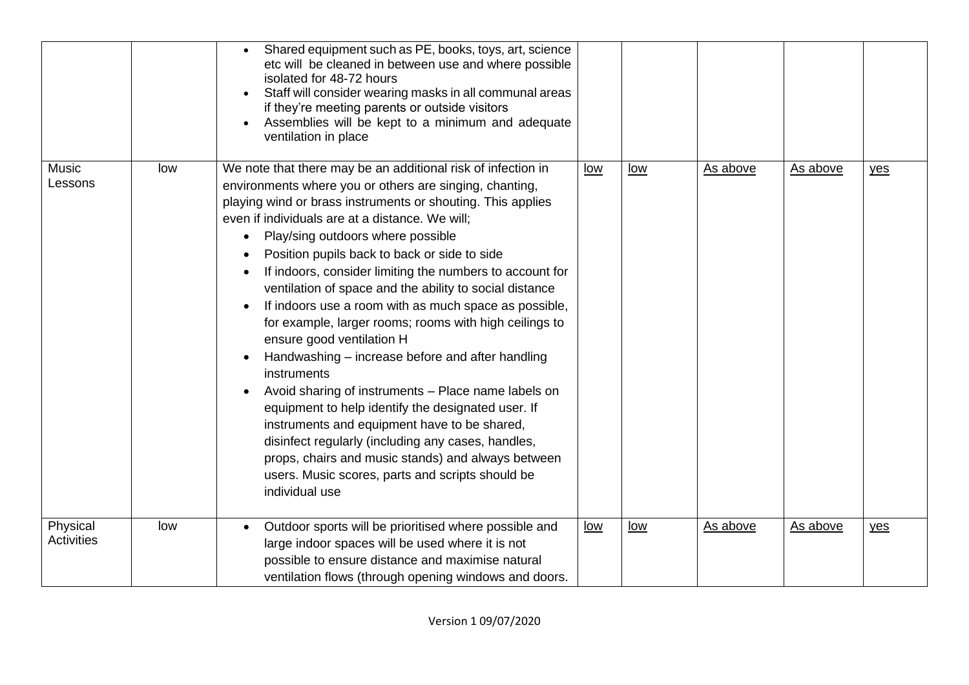|                               |     | Shared equipment such as PE, books, toys, art, science<br>etc will be cleaned in between use and where possible<br>isolated for 48-72 hours<br>Staff will consider wearing masks in all communal areas<br>if they're meeting parents or outside visitors<br>Assemblies will be kept to a minimum and adequate<br>ventilation in place                                                                                                                                                                                                                                                                                                                                                                                                                                                                                                                                                                                                                                                                                                |            |     |          |          |       |
|-------------------------------|-----|--------------------------------------------------------------------------------------------------------------------------------------------------------------------------------------------------------------------------------------------------------------------------------------------------------------------------------------------------------------------------------------------------------------------------------------------------------------------------------------------------------------------------------------------------------------------------------------------------------------------------------------------------------------------------------------------------------------------------------------------------------------------------------------------------------------------------------------------------------------------------------------------------------------------------------------------------------------------------------------------------------------------------------------|------------|-----|----------|----------|-------|
| <b>Music</b><br>Lessons       | low | We note that there may be an additional risk of infection in<br>environments where you or others are singing, chanting,<br>playing wind or brass instruments or shouting. This applies<br>even if individuals are at a distance. We will:<br>Play/sing outdoors where possible<br>Position pupils back to back or side to side<br>If indoors, consider limiting the numbers to account for<br>ventilation of space and the ability to social distance<br>If indoors use a room with as much space as possible,<br>$\bullet$<br>for example, larger rooms; rooms with high ceilings to<br>ensure good ventilation H<br>Handwashing – increase before and after handling<br>instruments<br>Avoid sharing of instruments - Place name labels on<br>equipment to help identify the designated user. If<br>instruments and equipment have to be shared,<br>disinfect regularly (including any cases, handles,<br>props, chairs and music stands) and always between<br>users. Music scores, parts and scripts should be<br>individual use | low        | low | As above | As above | $yes$ |
| Physical<br><b>Activities</b> | low | Outdoor sports will be prioritised where possible and<br>large indoor spaces will be used where it is not<br>possible to ensure distance and maximise natural<br>ventilation flows (through opening windows and doors.                                                                                                                                                                                                                                                                                                                                                                                                                                                                                                                                                                                                                                                                                                                                                                                                               | <u>low</u> | low | As above | As above | $yes$ |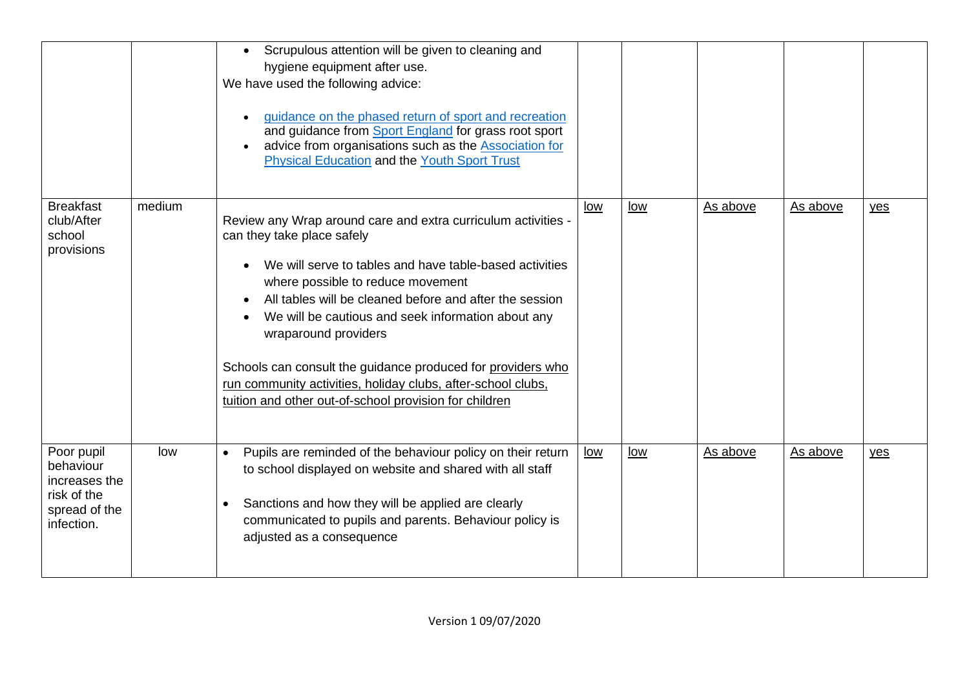|                                                                                        |        | Scrupulous attention will be given to cleaning and<br>$\bullet$<br>hygiene equipment after use.<br>We have used the following advice:<br>quidance on the phased return of sport and recreation<br>and guidance from Sport England for grass root sport<br>advice from organisations such as the Association for<br><b>Physical Education and the Youth Sport Trust</b>                                                                                                                                                        |            |            |          |          |     |
|----------------------------------------------------------------------------------------|--------|-------------------------------------------------------------------------------------------------------------------------------------------------------------------------------------------------------------------------------------------------------------------------------------------------------------------------------------------------------------------------------------------------------------------------------------------------------------------------------------------------------------------------------|------------|------------|----------|----------|-----|
| <b>Breakfast</b><br>club/After<br>school<br>provisions                                 | medium | Review any Wrap around care and extra curriculum activities -<br>can they take place safely<br>We will serve to tables and have table-based activities<br>where possible to reduce movement<br>All tables will be cleaned before and after the session<br>We will be cautious and seek information about any<br>wraparound providers<br>Schools can consult the guidance produced for providers who<br>run community activities, holiday clubs, after-school clubs,<br>tuition and other out-of-school provision for children | low        | <u>low</u> | As above | As above | yes |
| Poor pupil<br>behaviour<br>increases the<br>risk of the<br>spread of the<br>infection. | low    | Pupils are reminded of the behaviour policy on their return<br>$\bullet$<br>to school displayed on website and shared with all staff<br>Sanctions and how they will be applied are clearly<br>$\bullet$<br>communicated to pupils and parents. Behaviour policy is<br>adjusted as a consequence                                                                                                                                                                                                                               | <u>low</u> | low        | As above | As above | yes |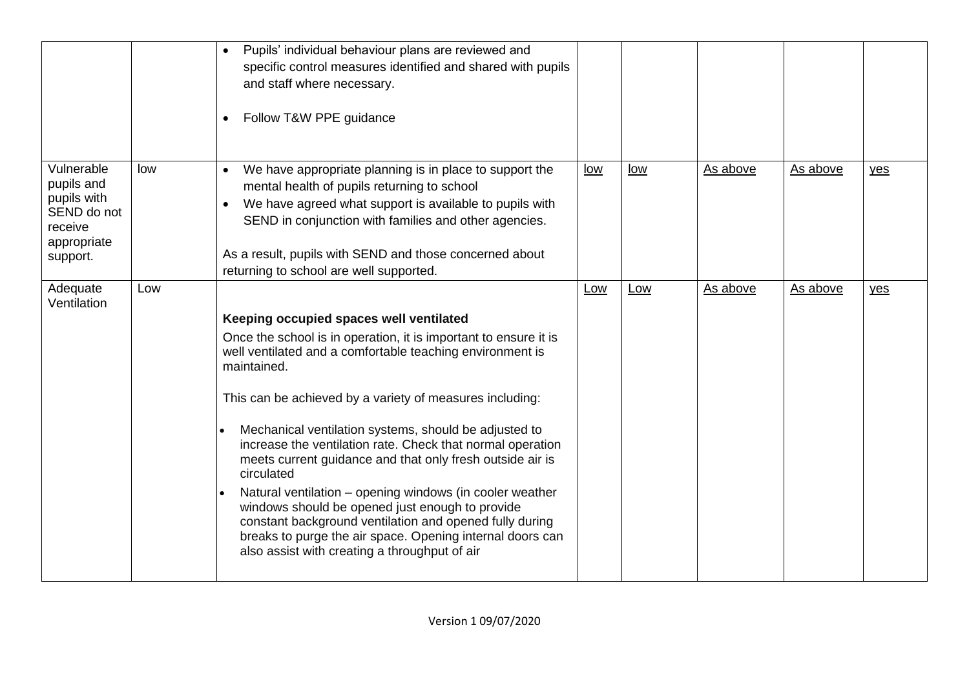|                                                                                              |     | Pupils' individual behaviour plans are reviewed and<br>$\bullet$<br>specific control measures identified and shared with pupils<br>and staff where necessary.<br>Follow T&W PPE guidance<br>$\bullet$                                                                                                                                                      |            |     |          |          |       |
|----------------------------------------------------------------------------------------------|-----|------------------------------------------------------------------------------------------------------------------------------------------------------------------------------------------------------------------------------------------------------------------------------------------------------------------------------------------------------------|------------|-----|----------|----------|-------|
| Vulnerable<br>pupils and<br>pupils with<br>SEND do not<br>receive<br>appropriate<br>support. | low | We have appropriate planning is in place to support the<br>$\bullet$<br>mental health of pupils returning to school<br>We have agreed what support is available to pupils with<br>$\bullet$<br>SEND in conjunction with families and other agencies.<br>As a result, pupils with SEND and those concerned about<br>returning to school are well supported. | <u>low</u> | low | As above | As above | $yes$ |
| Adequate<br>Ventilation                                                                      | Low |                                                                                                                                                                                                                                                                                                                                                            | Low        | Low | As above | As above | yes   |
|                                                                                              |     | Keeping occupied spaces well ventilated                                                                                                                                                                                                                                                                                                                    |            |     |          |          |       |
|                                                                                              |     | Once the school is in operation, it is important to ensure it is<br>well ventilated and a comfortable teaching environment is<br>maintained.                                                                                                                                                                                                               |            |     |          |          |       |
|                                                                                              |     | This can be achieved by a variety of measures including:                                                                                                                                                                                                                                                                                                   |            |     |          |          |       |
|                                                                                              |     | Mechanical ventilation systems, should be adjusted to<br>increase the ventilation rate. Check that normal operation<br>meets current guidance and that only fresh outside air is<br>circulated                                                                                                                                                             |            |     |          |          |       |
|                                                                                              |     | Natural ventilation - opening windows (in cooler weather<br>windows should be opened just enough to provide<br>constant background ventilation and opened fully during<br>breaks to purge the air space. Opening internal doors can<br>also assist with creating a throughput of air                                                                       |            |     |          |          |       |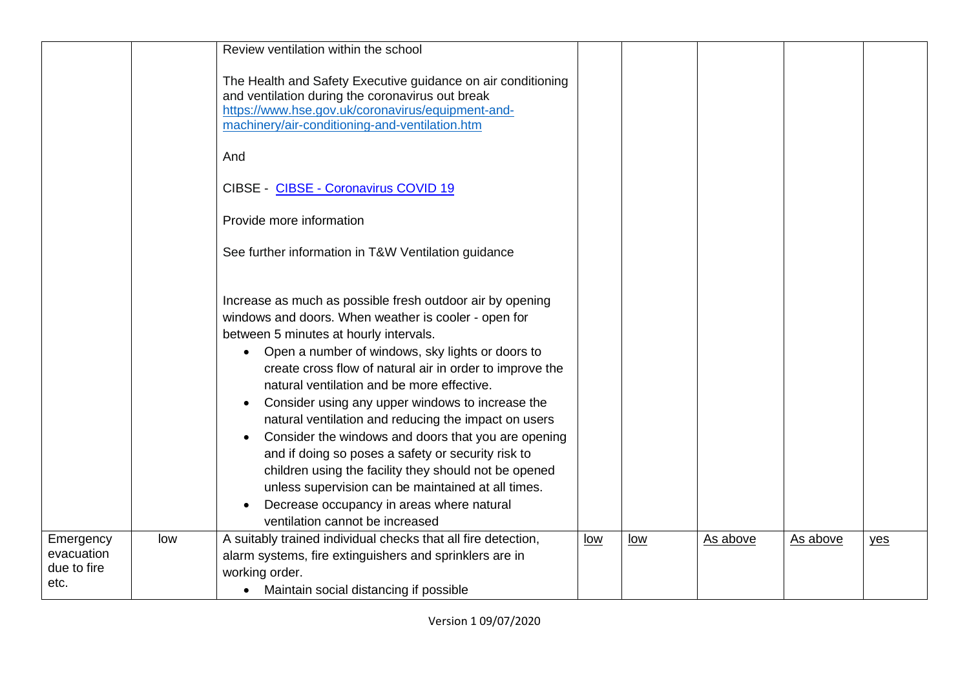|                                                |     | Review ventilation within the school                                                                                                                                                                                                                                                                                                                                                                                                                                                                                                                                                                                                                                                                                                                           |     |     |          |          |     |
|------------------------------------------------|-----|----------------------------------------------------------------------------------------------------------------------------------------------------------------------------------------------------------------------------------------------------------------------------------------------------------------------------------------------------------------------------------------------------------------------------------------------------------------------------------------------------------------------------------------------------------------------------------------------------------------------------------------------------------------------------------------------------------------------------------------------------------------|-----|-----|----------|----------|-----|
|                                                |     | The Health and Safety Executive guidance on air conditioning<br>and ventilation during the coronavirus out break<br>https://www.hse.gov.uk/coronavirus/equipment-and-<br>machinery/air-conditioning-and-ventilation.htm                                                                                                                                                                                                                                                                                                                                                                                                                                                                                                                                        |     |     |          |          |     |
|                                                |     | And                                                                                                                                                                                                                                                                                                                                                                                                                                                                                                                                                                                                                                                                                                                                                            |     |     |          |          |     |
|                                                |     | CIBSE - CIBSE - Coronavirus COVID 19                                                                                                                                                                                                                                                                                                                                                                                                                                                                                                                                                                                                                                                                                                                           |     |     |          |          |     |
|                                                |     | Provide more information                                                                                                                                                                                                                                                                                                                                                                                                                                                                                                                                                                                                                                                                                                                                       |     |     |          |          |     |
|                                                |     | See further information in T&W Ventilation guidance                                                                                                                                                                                                                                                                                                                                                                                                                                                                                                                                                                                                                                                                                                            |     |     |          |          |     |
|                                                |     | Increase as much as possible fresh outdoor air by opening<br>windows and doors. When weather is cooler - open for<br>between 5 minutes at hourly intervals.<br>Open a number of windows, sky lights or doors to<br>create cross flow of natural air in order to improve the<br>natural ventilation and be more effective.<br>Consider using any upper windows to increase the<br>$\bullet$<br>natural ventilation and reducing the impact on users<br>Consider the windows and doors that you are opening<br>and if doing so poses a safety or security risk to<br>children using the facility they should not be opened<br>unless supervision can be maintained at all times.<br>Decrease occupancy in areas where natural<br>ventilation cannot be increased |     |     |          |          |     |
| Emergency<br>evacuation<br>due to fire<br>etc. | low | A suitably trained individual checks that all fire detection,<br>alarm systems, fire extinguishers and sprinklers are in<br>working order.<br>Maintain social distancing if possible<br>$\bullet$                                                                                                                                                                                                                                                                                                                                                                                                                                                                                                                                                              | low | low | As above | As above | yes |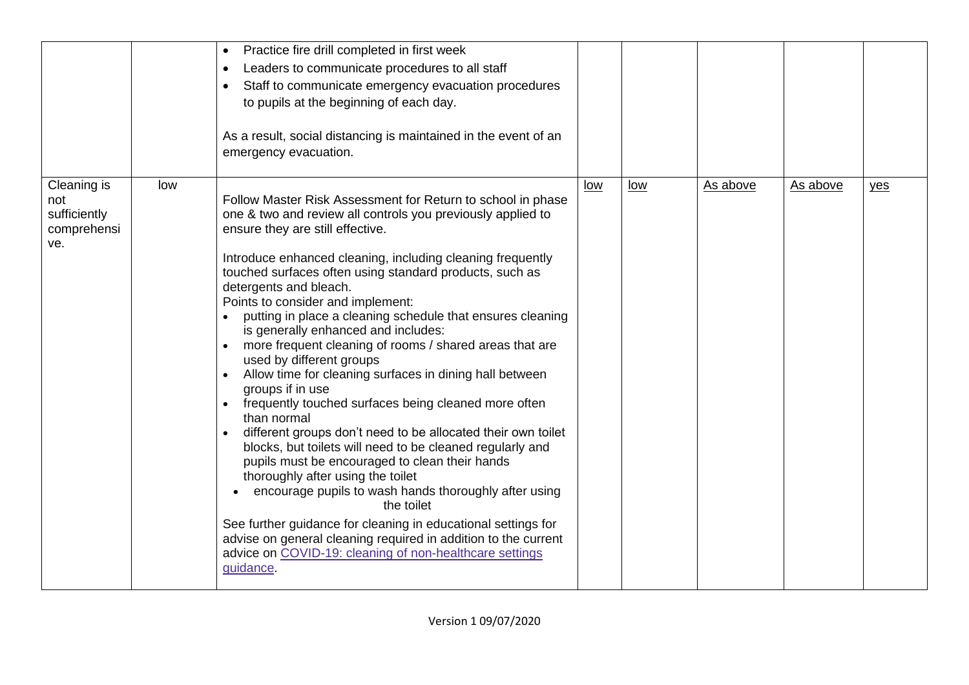|                                                          |     | Practice fire drill completed in first week<br>$\bullet$<br>Leaders to communicate procedures to all staff<br>$\bullet$<br>Staff to communicate emergency evacuation procedures<br>$\bullet$<br>to pupils at the beginning of each day.<br>As a result, social distancing is maintained in the event of an<br>emergency evacuation.                                                                                                                                                                                                                                                                                                                                                                                                                                                                                                                                                                                                                                                                                                                                                                                                                                                                                                                                |     |       |          |          |     |
|----------------------------------------------------------|-----|--------------------------------------------------------------------------------------------------------------------------------------------------------------------------------------------------------------------------------------------------------------------------------------------------------------------------------------------------------------------------------------------------------------------------------------------------------------------------------------------------------------------------------------------------------------------------------------------------------------------------------------------------------------------------------------------------------------------------------------------------------------------------------------------------------------------------------------------------------------------------------------------------------------------------------------------------------------------------------------------------------------------------------------------------------------------------------------------------------------------------------------------------------------------------------------------------------------------------------------------------------------------|-----|-------|----------|----------|-----|
| Cleaning is<br>not<br>sufficiently<br>comprehensi<br>ve. | low | Follow Master Risk Assessment for Return to school in phase<br>one & two and review all controls you previously applied to<br>ensure they are still effective.<br>Introduce enhanced cleaning, including cleaning frequently<br>touched surfaces often using standard products, such as<br>detergents and bleach.<br>Points to consider and implement:<br>putting in place a cleaning schedule that ensures cleaning<br>is generally enhanced and includes:<br>more frequent cleaning of rooms / shared areas that are<br>$\bullet$<br>used by different groups<br>Allow time for cleaning surfaces in dining hall between<br>$\bullet$<br>groups if in use<br>frequently touched surfaces being cleaned more often<br>$\bullet$<br>than normal<br>different groups don't need to be allocated their own toilet<br>$\bullet$<br>blocks, but toilets will need to be cleaned regularly and<br>pupils must be encouraged to clean their hands<br>thoroughly after using the toilet<br>encourage pupils to wash hands thoroughly after using<br>the toilet<br>See further guidance for cleaning in educational settings for<br>advise on general cleaning required in addition to the current<br>advice on COVID-19: cleaning of non-healthcare settings<br>guidance. | low | $low$ | As above | As above | yes |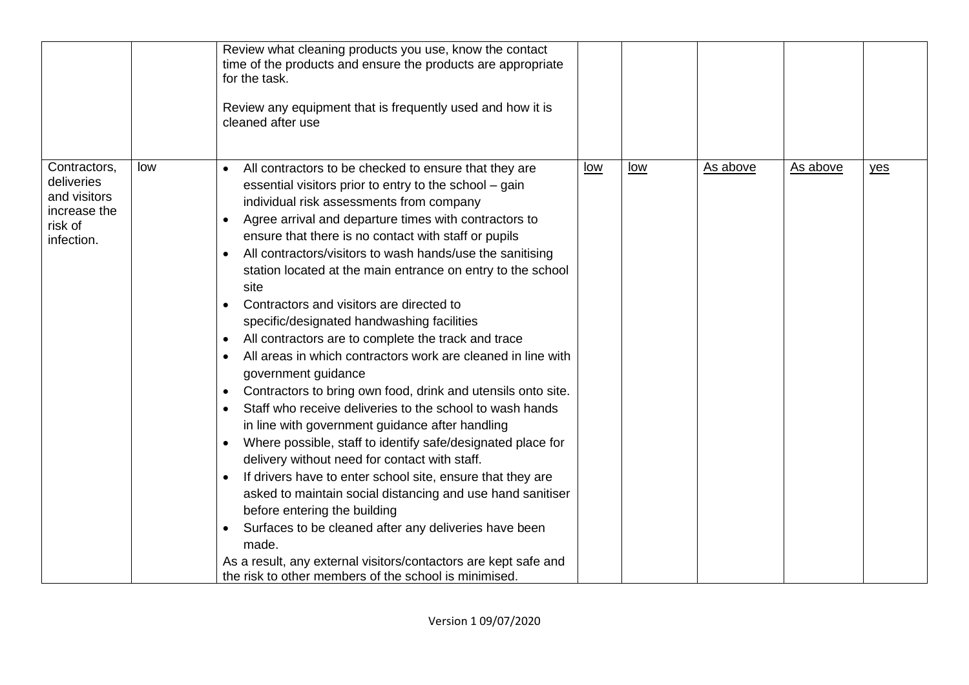|                                                                                     |     | Review what cleaning products you use, know the contact<br>time of the products and ensure the products are appropriate<br>for the task.<br>Review any equipment that is frequently used and how it is<br>cleaned after use                                                                                                                                                                                                                                                                                                                                                                                                                                                                                                                                                                                                                                                                                                                                                                                                                                                                                                                                                                                                                                                                                                                                                                                                                                      |     |     |          |          |     |
|-------------------------------------------------------------------------------------|-----|------------------------------------------------------------------------------------------------------------------------------------------------------------------------------------------------------------------------------------------------------------------------------------------------------------------------------------------------------------------------------------------------------------------------------------------------------------------------------------------------------------------------------------------------------------------------------------------------------------------------------------------------------------------------------------------------------------------------------------------------------------------------------------------------------------------------------------------------------------------------------------------------------------------------------------------------------------------------------------------------------------------------------------------------------------------------------------------------------------------------------------------------------------------------------------------------------------------------------------------------------------------------------------------------------------------------------------------------------------------------------------------------------------------------------------------------------------------|-----|-----|----------|----------|-----|
| Contractors,<br>deliveries<br>and visitors<br>increase the<br>risk of<br>infection. | low | All contractors to be checked to ensure that they are<br>$\bullet$<br>essential visitors prior to entry to the school – gain<br>individual risk assessments from company<br>Agree arrival and departure times with contractors to<br>$\bullet$<br>ensure that there is no contact with staff or pupils<br>All contractors/visitors to wash hands/use the sanitising<br>$\bullet$<br>station located at the main entrance on entry to the school<br>site<br>Contractors and visitors are directed to<br>$\bullet$<br>specific/designated handwashing facilities<br>All contractors are to complete the track and trace<br>$\bullet$<br>All areas in which contractors work are cleaned in line with<br>$\bullet$<br>government guidance<br>Contractors to bring own food, drink and utensils onto site.<br>$\bullet$<br>Staff who receive deliveries to the school to wash hands<br>$\bullet$<br>in line with government guidance after handling<br>Where possible, staff to identify safe/designated place for<br>$\bullet$<br>delivery without need for contact with staff.<br>If drivers have to enter school site, ensure that they are<br>$\bullet$<br>asked to maintain social distancing and use hand sanitiser<br>before entering the building<br>Surfaces to be cleaned after any deliveries have been<br>$\bullet$<br>made.<br>As a result, any external visitors/contactors are kept safe and<br>the risk to other members of the school is minimised. | low | low | As above | As above | yes |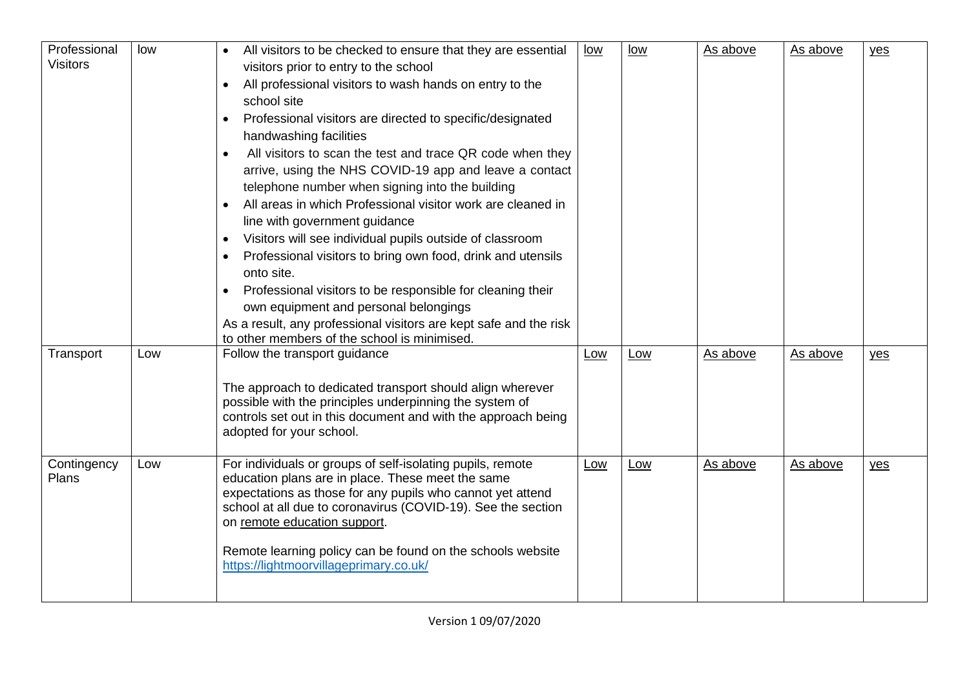| Professional<br><b>Visitors</b> | low | All visitors to be checked to ensure that they are essential<br>visitors prior to entry to the school<br>All professional visitors to wash hands on entry to the<br>school site<br>Professional visitors are directed to specific/designated<br>$\bullet$<br>handwashing facilities<br>All visitors to scan the test and trace QR code when they<br>$\bullet$<br>arrive, using the NHS COVID-19 app and leave a contact<br>telephone number when signing into the building<br>All areas in which Professional visitor work are cleaned in<br>line with government guidance<br>Visitors will see individual pupils outside of classroom<br>$\bullet$<br>Professional visitors to bring own food, drink and utensils<br>$\bullet$<br>onto site.<br>Professional visitors to be responsible for cleaning their<br>$\bullet$<br>own equipment and personal belongings<br>As a result, any professional visitors are kept safe and the risk<br>to other members of the school is minimised. | low | low | As above | As above | $yes$ |
|---------------------------------|-----|----------------------------------------------------------------------------------------------------------------------------------------------------------------------------------------------------------------------------------------------------------------------------------------------------------------------------------------------------------------------------------------------------------------------------------------------------------------------------------------------------------------------------------------------------------------------------------------------------------------------------------------------------------------------------------------------------------------------------------------------------------------------------------------------------------------------------------------------------------------------------------------------------------------------------------------------------------------------------------------|-----|-----|----------|----------|-------|
| Transport                       | Low | Follow the transport guidance<br>The approach to dedicated transport should align wherever<br>possible with the principles underpinning the system of<br>controls set out in this document and with the approach being<br>adopted for your school.                                                                                                                                                                                                                                                                                                                                                                                                                                                                                                                                                                                                                                                                                                                                     | Low | Low | As above | As above | yes   |
| Contingency<br>Plans            | Low | For individuals or groups of self-isolating pupils, remote<br>education plans are in place. These meet the same<br>expectations as those for any pupils who cannot yet attend<br>school at all due to coronavirus (COVID-19). See the section<br>on remote education support.<br>Remote learning policy can be found on the schools website<br>https://lightmoorvillageprimary.co.uk/                                                                                                                                                                                                                                                                                                                                                                                                                                                                                                                                                                                                  | Low | Low | As above | As above | yes   |